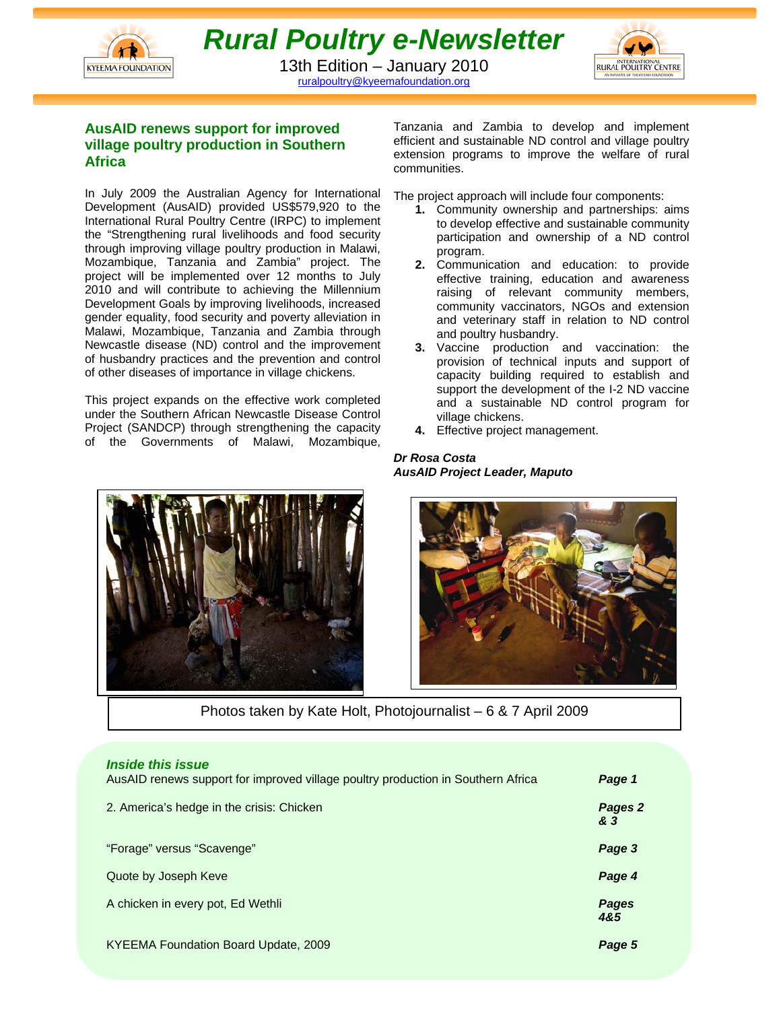



13th Edition – January 2010 ruralpoultry@kyeemafoundation.org

# **AusAID renews support for improved village poultry production in Southern Africa**

In July 2009 the Australian Agency for International Development (AusAID) provided US\$579,920 to the International Rural Poultry Centre (IRPC) to implement the "Strengthening rural livelihoods and food security through improving village poultry production in Malawi, Mozambique, Tanzania and Zambia" project. The project will be implemented over 12 months to July 2010 and will contribute to achieving the Millennium Development Goals by improving livelihoods, increased gender equality, food security and poverty alleviation in Malawi, Mozambique, Tanzania and Zambia through Newcastle disease (ND) control and the improvement of husbandry practices and the prevention and control of other diseases of importance in village chickens.

This project expands on the effective work completed under the Southern African Newcastle Disease Control Project (SANDCP) through strengthening the capacity of the Governments of Malawi, Mozambique, Tanzania and Zambia to develop and implement efficient and sustainable ND control and village poultry extension programs to improve the welfare of rural communities.

The project approach will include four components:

- **1.** Community ownership and partnerships: aims to develop effective and sustainable community participation and ownership of a ND control program.
- **2.** Communication and education: to provide effective training, education and awareness raising of relevant community members, community vaccinators, NGOs and extension and veterinary staff in relation to ND control and poultry husbandry.
- **3.** Vaccine production and vaccination: the provision of technical inputs and support of capacity building required to establish and support the development of the I-2 ND vaccine and a sustainable ND control program for village chickens.
- **4.** Effective project management.

#### *Dr Rosa Costa AusAID Project Leader, Maputo*





Photos taken by Kate Holt, Photojournalist – 6 & 7 April 2009

| <i><b>Inside this issue</b></i><br>AusAID renews support for improved village poultry production in Southern Africa | Page 1         |
|---------------------------------------------------------------------------------------------------------------------|----------------|
| 2. America's hedge in the crisis: Chicken                                                                           | Pages 2<br>& 3 |
| "Forage" versus "Scavenge"                                                                                          | Page 3         |
| Quote by Joseph Keve                                                                                                | Page 4         |
| A chicken in every pot, Ed Wethli                                                                                   | Pages<br>4&5   |
| KYEEMA Foundation Board Update, 2009                                                                                | Page 5         |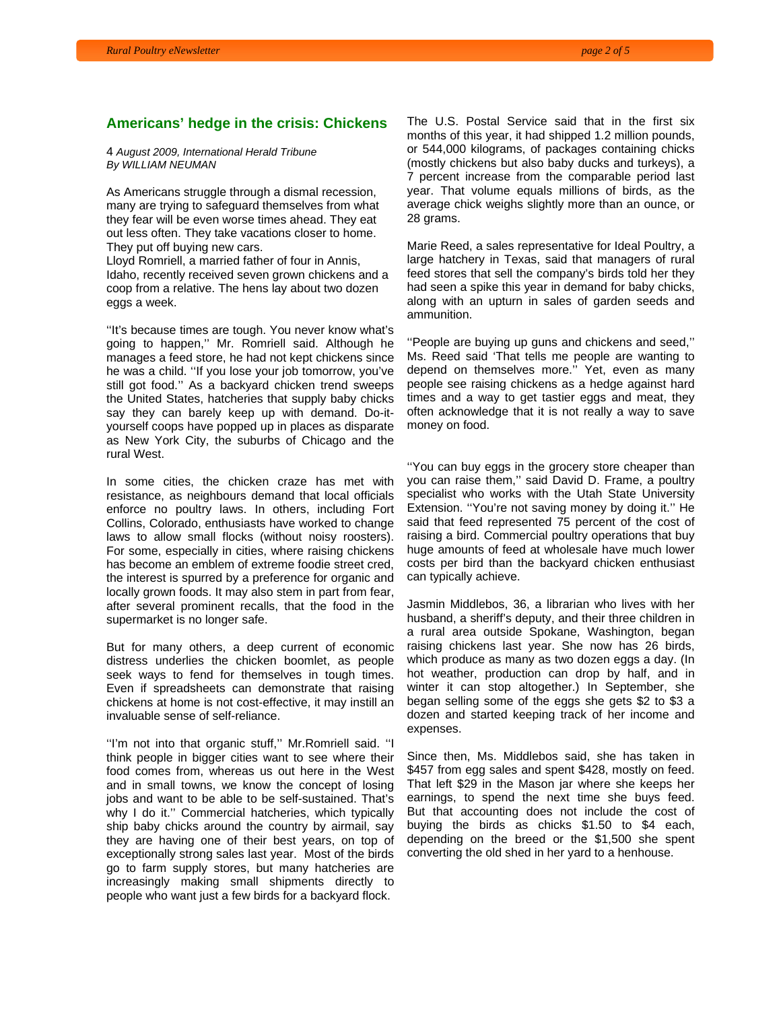#### **Americans' hedge in the crisis: Chickens**

4 *August 2009, International Herald Tribune By WILLIAM NEUMAN*

As Americans struggle through a dismal recession, many are trying to safeguard themselves from what they fear will be even worse times ahead. They eat out less often. They take vacations closer to home. They put off buying new cars.

Lloyd Romriell, a married father of four in Annis, Idaho, recently received seven grown chickens and a coop from a relative. The hens lay about two dozen eggs a week.

''It's because times are tough. You never know what's going to happen,'' Mr. Romriell said. Although he manages a feed store, he had not kept chickens since he was a child. ''If you lose your job tomorrow, you've still got food.'' As a backyard chicken trend sweeps the United States, hatcheries that supply baby chicks say they can barely keep up with demand. Do-ityourself coops have popped up in places as disparate as New York City, the suburbs of Chicago and the rural West.

In some cities, the chicken craze has met with resistance, as neighbours demand that local officials enforce no poultry laws. In others, including Fort Collins, Colorado, enthusiasts have worked to change laws to allow small flocks (without noisy roosters). For some, especially in cities, where raising chickens has become an emblem of extreme foodie street cred, the interest is spurred by a preference for organic and locally grown foods. It may also stem in part from fear, after several prominent recalls, that the food in the supermarket is no longer safe.

But for many others, a deep current of economic distress underlies the chicken boomlet, as people seek ways to fend for themselves in tough times. Even if spreadsheets can demonstrate that raising chickens at home is not cost-effective, it may instill an invaluable sense of self-reliance.

''I'm not into that organic stuff,'' Mr.Romriell said. ''I think people in bigger cities want to see where their food comes from, whereas us out here in the West and in small towns, we know the concept of losing jobs and want to be able to be self-sustained. That's why I do it.'' Commercial hatcheries, which typically ship baby chicks around the country by airmail, say they are having one of their best years, on top of exceptionally strong sales last year. Most of the birds go to farm supply stores, but many hatcheries are increasingly making small shipments directly to people who want just a few birds for a backyard flock.

The U.S. Postal Service said that in the first six months of this year, it had shipped 1.2 million pounds, or 544,000 kilograms, of packages containing chicks (mostly chickens but also baby ducks and turkeys), a 7 percent increase from the comparable period last year. That volume equals millions of birds, as the average chick weighs slightly more than an ounce, or 28 grams.

Marie Reed, a sales representative for Ideal Poultry, a large hatchery in Texas, said that managers of rural feed stores that sell the company's birds told her they had seen a spike this year in demand for baby chicks, along with an upturn in sales of garden seeds and ammunition.

''People are buying up guns and chickens and seed,'' Ms. Reed said 'That tells me people are wanting to depend on themselves more.'' Yet, even as many people see raising chickens as a hedge against hard times and a way to get tastier eggs and meat, they often acknowledge that it is not really a way to save money on food.

''You can buy eggs in the grocery store cheaper than you can raise them,'' said David D. Frame, a poultry specialist who works with the Utah State University Extension. ''You're not saving money by doing it.'' He said that feed represented 75 percent of the cost of raising a bird. Commercial poultry operations that buy huge amounts of feed at wholesale have much lower costs per bird than the backyard chicken enthusiast can typically achieve.

Jasmin Middlebos, 36, a librarian who lives with her husband, a sheriff's deputy, and their three children in a rural area outside Spokane, Washington, began raising chickens last year. She now has 26 birds, which produce as many as two dozen eggs a day. (In hot weather, production can drop by half, and in winter it can stop altogether.) In September, she began selling some of the eggs she gets \$2 to \$3 a dozen and started keeping track of her income and expenses.

Since then, Ms. Middlebos said, she has taken in \$457 from egg sales and spent \$428, mostly on feed. That left \$29 in the Mason jar where she keeps her earnings, to spend the next time she buys feed. But that accounting does not include the cost of buying the birds as chicks \$1.50 to \$4 each, depending on the breed or the \$1,500 she spent converting the old shed in her yard to a henhouse.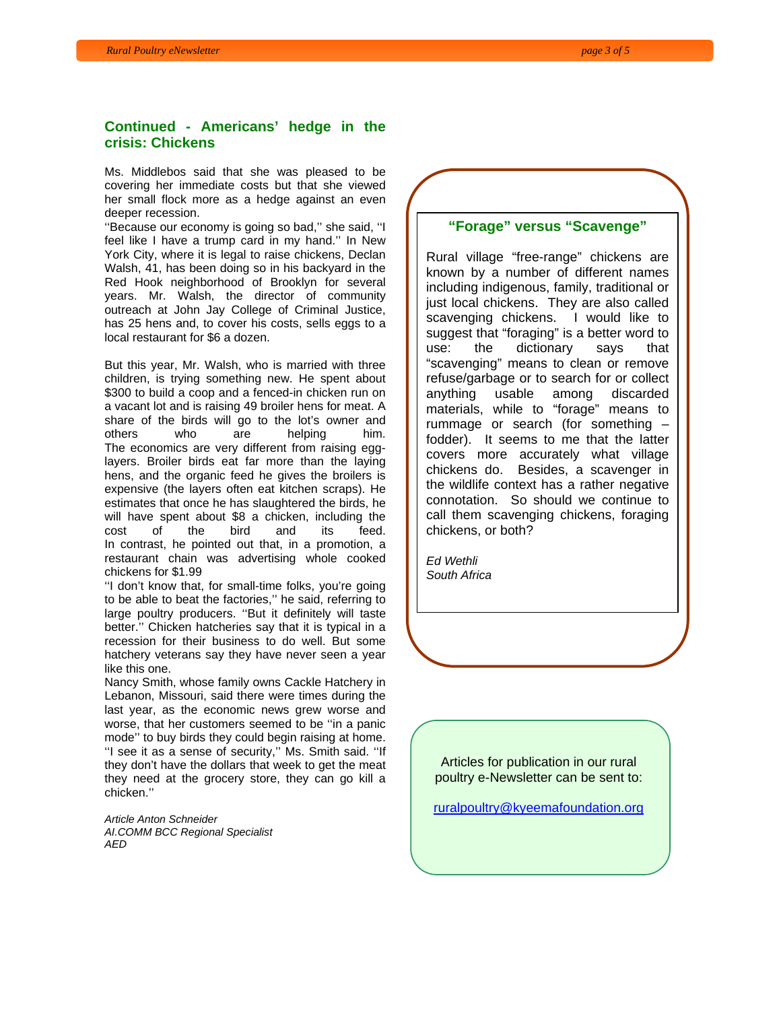# **Continued - Americans' hedge in the crisis: Chickens**

Ms. Middlebos said that she was pleased to be covering her immediate costs but that she viewed her small flock more as a hedge against an even deeper recession.

''Because our economy is going so bad,'' she said, ''I feel like I have a trump card in my hand.'' In New York City, where it is legal to raise chickens, Declan Walsh, 41, has been doing so in his backyard in the Red Hook neighborhood of Brooklyn for several years. Mr. Walsh, the director of community outreach at John Jay College of Criminal Justice, has 25 hens and, to cover his costs, sells eggs to a local restaurant for \$6 a dozen.

But this year, Mr. Walsh, who is married with three children, is trying something new. He spent about \$300 to build a coop and a fenced-in chicken run on a vacant lot and is raising 49 broiler hens for meat. A share of the birds will go to the lot's owner and others who are helping him. The economics are very different from raising egglayers. Broiler birds eat far more than the laying hens, and the organic feed he gives the broilers is expensive (the layers often eat kitchen scraps). He estimates that once he has slaughtered the birds, he will have spent about \$8 a chicken, including the cost of the bird and its feed. In contrast, he pointed out that, in a promotion, a restaurant chain was advertising whole cooked chickens for \$1.99

''I don't know that, for small-time folks, you're going to be able to beat the factories,'' he said, referring to large poultry producers. ''But it definitely will taste better.'' Chicken hatcheries say that it is typical in a recession for their business to do well. But some hatchery veterans say they have never seen a year like this one.

Nancy Smith, whose family owns Cackle Hatchery in Lebanon, Missouri, said there were times during the last year, as the economic news grew worse and worse, that her customers seemed to be ''in a panic mode'' to buy birds they could begin raising at home. ''I see it as a sense of security,'' Ms. Smith said. ''If they don't have the dollars that week to get the meat they need at the grocery store, they can go kill a chicken.''

*Article Anton Schneider AI.COMM BCC Regional Specialist AED* 

#### **"Forage" versus "Scavenge"**

Rural village "free-range" chickens are known by a number of different names including indigenous, family, traditional or just local chickens. They are also called scavenging chickens. I would like to suggest that "foraging" is a better word to use: the dictionary says that "scavenging" means to clean or remove refuse/garbage or to search for or collect anything usable among discarded materials, while to "forage" means to rummage or search (for something – fodder). It seems to me that the latter covers more accurately what village chickens do. Besides, a scavenger in the wildlife context has a rather negative connotation. So should we continue to call them scavenging chickens, foraging chickens, or both?

*Ed Wethli South Africa* 

> Articles for publication in our rural poultry e-Newsletter can be sent to:

ruralpoultry@kyeemafoundation.org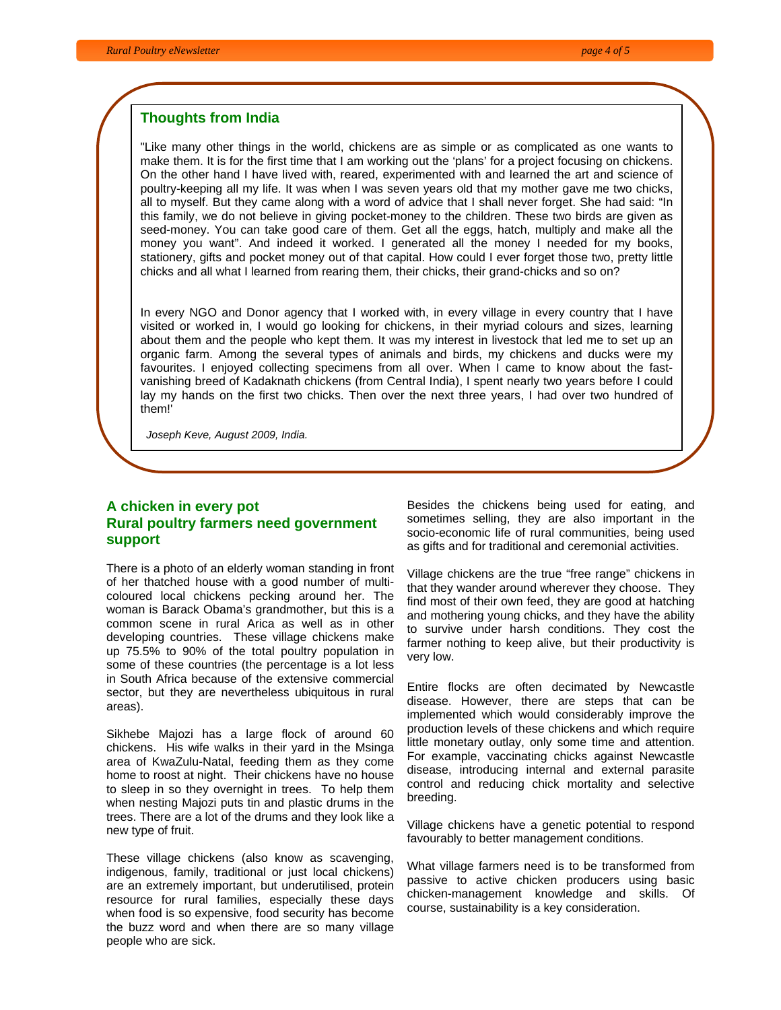### **Thoughts from India**

"Like many other things in the world, chickens are as simple or as complicated as one wants to make them. It is for the first time that I am working out the 'plans' for a project focusing on chickens. On the other hand I have lived with, reared, experimented with and learned the art and science of poultry-keeping all my life. It was when I was seven years old that my mother gave me two chicks, all to myself. But they came along with a word of advice that I shall never forget. She had said: "In this family, we do not believe in giving pocket-money to the children. These two birds are given as seed-money. You can take good care of them. Get all the eggs, hatch, multiply and make all the money you want". And indeed it worked. I generated all the money I needed for my books, stationery, gifts and pocket money out of that capital. How could I ever forget those two, pretty little chicks and all what I learned from rearing them, their chicks, their grand-chicks and so on?

In every NGO and Donor agency that I worked with, in every village in every country that I have visited or worked in, I would go looking for chickens, in their myriad colours and sizes, learning about them and the people who kept them. It was my interest in livestock that led me to set up an organic farm. Among the several types of animals and birds, my chickens and ducks were my favourites. I enjoyed collecting specimens from all over. When I came to know about the fastvanishing breed of Kadaknath chickens (from Central India), I spent nearly two years before I could lay my hands on the first two chicks. Then over the next three years, I had over two hundred of them!'

 *Joseph Keve, August 2009, India.*

# **A chicken in every pot Rural poultry farmers need government support**

There is a photo of an elderly woman standing in front of her thatched house with a good number of multicoloured local chickens pecking around her. The woman is Barack Obama's grandmother, but this is a common scene in rural Arica as well as in other developing countries. These village chickens make up 75.5% to 90% of the total poultry population in some of these countries (the percentage is a lot less in South Africa because of the extensive commercial sector, but they are nevertheless ubiquitous in rural areas).

Sikhebe Majozi has a large flock of around 60 chickens. His wife walks in their yard in the Msinga area of KwaZulu-Natal, feeding them as they come home to roost at night. Their chickens have no house to sleep in so they overnight in trees. To help them when nesting Majozi puts tin and plastic drums in the trees. There are a lot of the drums and they look like a new type of fruit.

These village chickens (also know as scavenging, indigenous, family, traditional or just local chickens) are an extremely important, but underutilised, protein resource for rural families, especially these days when food is so expensive, food security has become the buzz word and when there are so many village people who are sick.

Besides the chickens being used for eating, and sometimes selling, they are also important in the socio-economic life of rural communities, being used as gifts and for traditional and ceremonial activities.

Village chickens are the true "free range" chickens in that they wander around wherever they choose. They find most of their own feed, they are good at hatching and mothering young chicks, and they have the ability to survive under harsh conditions. They cost the farmer nothing to keep alive, but their productivity is very low.

Entire flocks are often decimated by Newcastle disease. However, there are steps that can be implemented which would considerably improve the production levels of these chickens and which require little monetary outlay, only some time and attention. For example, vaccinating chicks against Newcastle disease, introducing internal and external parasite control and reducing chick mortality and selective breeding.

Village chickens have a genetic potential to respond favourably to better management conditions.

What village farmers need is to be transformed from passive to active chicken producers using basic chicken-management knowledge and skills. Of course, sustainability is a key consideration.